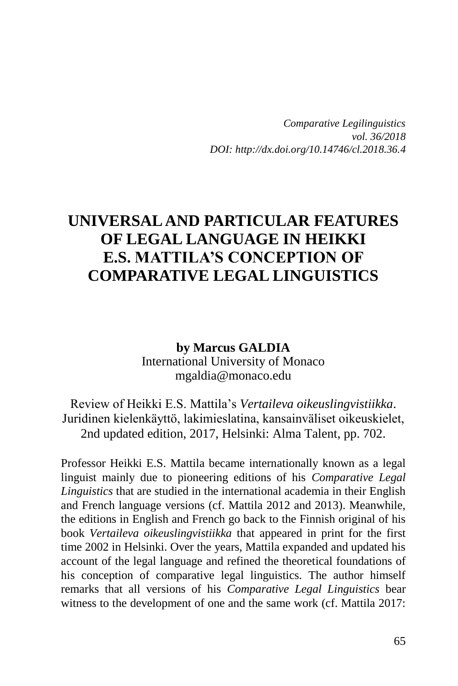*Comparative Legilinguistics vol. 36/2018 DOI: http://dx.doi.org/10.14746/cl.2018.36.4*

## **UNIVERSAL AND PARTICULAR FEATURES OF LEGAL LANGUAGE IN HEIKKI E.S. MATTILA'S CONCEPTION OF COMPARATIVE LEGAL LINGUISTICS**

**by Marcus GALDIA** International University of Monaco mgaldia@monaco.edu

Review of Heikki E.S. Mattila's *Vertaileva oikeuslingvistiikka*. Juridinen kielenkäyttö, lakimieslatina, kansainväliset oikeuskielet, 2nd updated edition, 2017, Helsinki: Alma Talent, pp. 702.

Professor Heikki E.S. Mattila became internationally known as a legal linguist mainly due to pioneering editions of his *Comparative Legal Linguistics* that are studied in the international academia in their English and French language versions (cf. Mattila 2012 and 2013). Meanwhile, the editions in English and French go back to the Finnish original of his book *Vertaileva oikeuslingvistiikka* that appeared in print for the first time 2002 in Helsinki. Over the years, Mattila expanded and updated his account of the legal language and refined the theoretical foundations of his conception of comparative legal linguistics. The author himself remarks that all versions of his *Comparative Legal Linguistics* bear witness to the development of one and the same work (cf. Mattila 2017: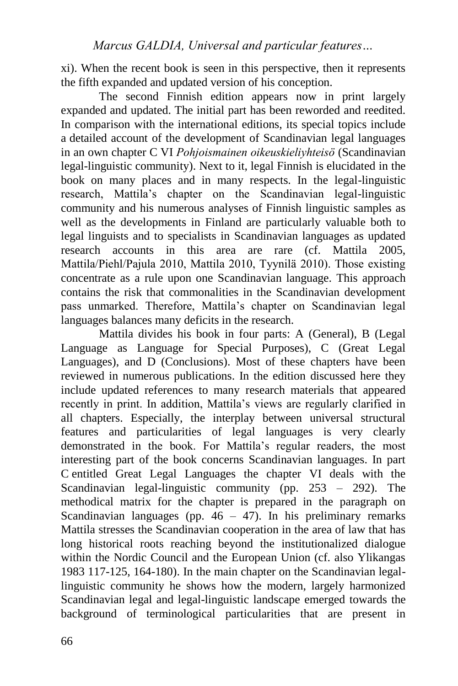xi). When the recent book is seen in this perspective, then it represents the fifth expanded and updated version of his conception.

The second Finnish edition appears now in print largely expanded and updated. The initial part has been reworded and reedited. In comparison with the international editions, its special topics include a detailed account of the development of Scandinavian legal languages in an own chapter C VI *Pohjoismainen oikeuskieliyhteisö* (Scandinavian legal-linguistic community). Next to it, legal Finnish is elucidated in the book on many places and in many respects. In the legal-linguistic research, Mattila's chapter on the Scandinavian legal-linguistic community and his numerous analyses of Finnish linguistic samples as well as the developments in Finland are particularly valuable both to legal linguists and to specialists in Scandinavian languages as updated research accounts in this area are rare (cf. Mattila 2005, Mattila/Piehl/Pajula 2010, Mattila 2010, Tyynilä 2010). Those existing concentrate as a rule upon one Scandinavian language. This approach contains the risk that commonalities in the Scandinavian development pass unmarked. Therefore, Mattila's chapter on Scandinavian legal languages balances many deficits in the research.

Mattila divides his book in four parts: A (General), B (Legal Language as Language for Special Purposes), C (Great Legal Languages), and D (Conclusions). Most of these chapters have been reviewed in numerous publications. In the edition discussed here they include updated references to many research materials that appeared recently in print. In addition, Mattila's views are regularly clarified in all chapters. Especially, the interplay between universal structural features and particularities of legal languages is very clearly demonstrated in the book. For Mattila's regular readers, the most interesting part of the book concerns Scandinavian languages. In part C entitled Great Legal Languages the chapter VI deals with the Scandinavian legal-linguistic community (pp. 253 – 292). The methodical matrix for the chapter is prepared in the paragraph on Scandinavian languages (pp.  $46 - 47$ ). In his preliminary remarks Mattila stresses the Scandinavian cooperation in the area of law that has long historical roots reaching beyond the institutionalized dialogue within the Nordic Council and the European Union (cf. also Ylikangas 1983 117-125, 164-180). In the main chapter on the Scandinavian legallinguistic community he shows how the modern, largely harmonized Scandinavian legal and legal-linguistic landscape emerged towards the background of terminological particularities that are present in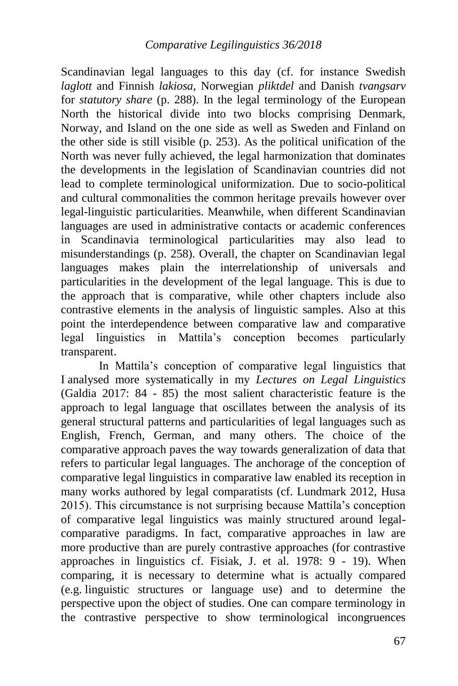Scandinavian legal languages to this day (cf. for instance Swedish *laglott* and Finnish *lakiosa*, Norwegian *pliktdel* and Danish *tvangsarv* for *statutory share* (p. 288). In the legal terminology of the European North the historical divide into two blocks comprising Denmark, Norway, and Island on the one side as well as Sweden and Finland on the other side is still visible (p. 253). As the political unification of the North was never fully achieved, the legal harmonization that dominates the developments in the legislation of Scandinavian countries did not lead to complete terminological uniformization. Due to socio-political and cultural commonalities the common heritage prevails however over legal-linguistic particularities. Meanwhile, when different Scandinavian languages are used in administrative contacts or academic conferences in Scandinavia terminological particularities may also lead to misunderstandings (p. 258). Overall, the chapter on Scandinavian legal languages makes plain the interrelationship of universals and particularities in the development of the legal language. This is due to the approach that is comparative, while other chapters include also contrastive elements in the analysis of linguistic samples. Also at this point the interdependence between comparative law and comparative legal linguistics in Mattila's conception becomes particularly transparent.

In Mattila's conception of comparative legal linguistics that I analysed more systematically in my *Lectures on Legal Linguistics* (Galdia 2017: 84 - 85) the most salient characteristic feature is the approach to legal language that oscillates between the analysis of its general structural patterns and particularities of legal languages such as English, French, German, and many others. The choice of the comparative approach paves the way towards generalization of data that refers to particular legal languages. The anchorage of the conception of comparative legal linguistics in comparative law enabled its reception in many works authored by legal comparatists (cf. Lundmark 2012, Husa 2015). This circumstance is not surprising because Mattila's conception of comparative legal linguistics was mainly structured around legalcomparative paradigms. In fact, comparative approaches in law are more productive than are purely contrastive approaches (for contrastive approaches in linguistics cf. Fisiak, J. et al. 1978: 9 - 19). When comparing, it is necessary to determine what is actually compared (e.g. linguistic structures or language use) and to determine the perspective upon the object of studies. One can compare terminology in the contrastive perspective to show terminological incongruences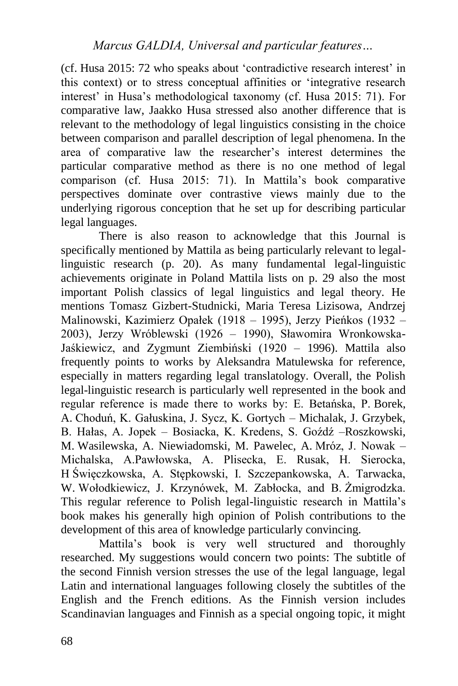(cf. Husa 2015: 72 who speaks about 'contradictive research interest' in this context) or to stress conceptual affinities or 'integrative research interest' in Husa's methodological taxonomy (cf. Husa 2015: 71). For comparative law, Jaakko Husa stressed also another difference that is relevant to the methodology of legal linguistics consisting in the choice between comparison and parallel description of legal phenomena. In the area of comparative law the researcher's interest determines the particular comparative method as there is no one method of legal comparison (cf. Husa 2015: 71). In Mattila's book comparative perspectives dominate over contrastive views mainly due to the underlying rigorous conception that he set up for describing particular legal languages.

There is also reason to acknowledge that this Journal is specifically mentioned by Mattila as being particularly relevant to legallinguistic research (p. 20). As many fundamental legal-linguistic achievements originate in Poland Mattila lists on p. 29 also the most important Polish classics of legal linguistics and legal theory. He mentions Tomasz Gizbert-Studnicki, Maria Teresa Lizisowa, Andrzej Malinowski, Kazimierz Opałek (1918 – 1995), Jerzy Pieńkos (1932 – 2003), Jerzy Wróblewski (1926 – 1990), Sławomira Wronkowska-Jaśkiewicz, and Zygmunt Ziembiński (1920 – 1996). Mattila also frequently points to works by Aleksandra Matulewska for reference, especially in matters regarding legal translatology. Overall, the Polish legal-linguistic research is particularly well represented in the book and regular reference is made there to works by: E. Betańska, P. Borek, A. Choduń, K. Gałuskina, J. Sycz, K. Gortych – Michalak, J. Grzybek, B. Hałas, A. Jopek – Bosiacka, K. Kredens, S. Goźdź –Roszkowski, M. Wasilewska, A. Niewiadomski, M. Pawelec, A. Mróz, J. Nowak – Michalska, A.Pawłowska, A. Plisecka, E. Rusak, H. Sierocka, H Święczkowska, A. Stępkowski, I. Szczepankowska, A. Tarwacka, W. Wołodkiewicz, J. Krzynówek, M. Zabłocka, and B. Żmigrodzka. This regular reference to Polish legal-linguistic research in Mattila's book makes his generally high opinion of Polish contributions to the development of this area of knowledge particularly convincing.

Mattila's book is very well structured and thoroughly researched. My suggestions would concern two points: The subtitle of the second Finnish version stresses the use of the legal language, legal Latin and international languages following closely the subtitles of the English and the French editions. As the Finnish version includes Scandinavian languages and Finnish as a special ongoing topic, it might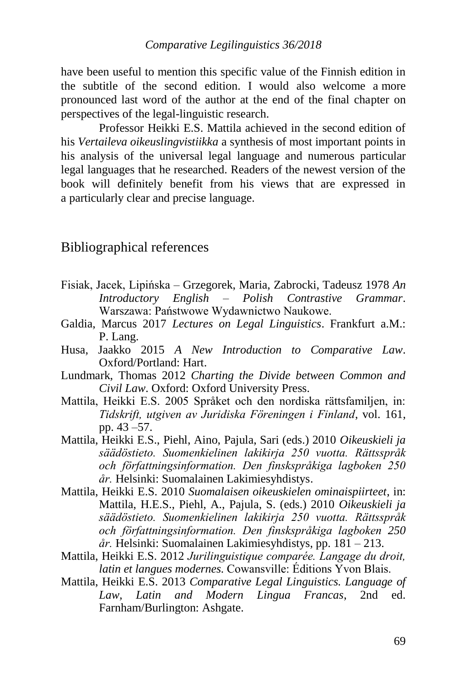have been useful to mention this specific value of the Finnish edition in the subtitle of the second edition. I would also welcome a more pronounced last word of the author at the end of the final chapter on perspectives of the legal-linguistic research.

Professor Heikki E.S. Mattila achieved in the second edition of his *Vertaileva oikeuslingvistiikka* a synthesis of most important points in his analysis of the universal legal language and numerous particular legal languages that he researched. Readers of the newest version of the book will definitely benefit from his views that are expressed in a particularly clear and precise language.

## Bibliographical references

- Fisiak, Jacek, Lipińska Grzegorek, Maria, Zabrocki, Tadeusz 1978 *An Introductory English – Polish Contrastive Grammar*. Warszawa: Państwowe Wydawnictwo Naukowe.
- Galdia, Marcus 2017 *Lectures on Legal Linguistics*. Frankfurt a.M.: P. Lang.
- Husa, Jaakko 2015 *A New Introduction to Comparative Law*. Oxford/Portland: Hart.
- Lundmark, Thomas 2012 *Charting the Divide between Common and Civil Law*. Oxford: Oxford University Press.
- Mattila, Heikki E.S. 2005 Språket och den nordiska rättsfamiljen, in: *Tidskrift, utgiven av Juridiska Föreningen i Finland*, vol. 161, pp. 43 –57.
- Mattila, Heikki E.S., Piehl, Aino, Pajula, Sari (eds.) 2010 *Oikeuskieli ja säädöstieto. Suomenkielinen lakikirja 250 vuotta. Rättsspråk och författningsinformation. Den finskspråkiga lagboken 250 år.* Helsinki: Suomalainen Lakimiesyhdistys.
- Mattila, Heikki E.S. 2010 *Suomalaisen oikeuskielen ominaispiirteet*, in: Mattila, H.E.S., Piehl, A., Pajula, S. (eds.) 2010 *Oikeuskieli ja säädöstieto. Suomenkielinen lakikirja 250 vuotta. Rättsspråk och författningsinformation. Den finskspråkiga lagboken 250 år.* Helsinki: Suomalainen Lakimiesyhdistys, pp. 181 – 213.
- Mattila, Heikki E.S. 2012 *Jurilinguistique comparée. Langage du droit, latin et langues modernes.* Cowansville: Éditions Yvon Blais.
- Mattila, Heikki E.S. 2013 *Comparative Legal Linguistics. Language of Law, Latin and Modern Lingua Francas*, 2nd ed. Farnham/Burlington: Ashgate.